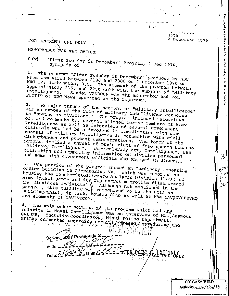$1_{AA}$ 3656.

2 Docember 1970

Reproduced

Irom the Unclassified / Declassified Holdings of the National Archi

FOR OFFICIAL USE ONLY MEMORANDUM FOR THE RECORD

Subj: "First Tuesday in December" Program, 1 Dec 1970,

The program "First Tudeday in December" produced by NDC 1. News was aired between 2100 and 2300 on I pecember 1970 on WRC TV, Washington, D.C. The segment of the program between approximately 2155 and 2250 dolt with the subject of "Military Intelligence." Sander VANOCUR was the moderator and Tom PETTIT of NBC News appeared as the reporter.

The major thrust of the sequent on "Military Intelligence"  $2.$ was an expose of the role of military intelligence agencies in "spying on civilians." The program included interviews of, and comments by, several alleged former members of Army Intelligence as well as interviews of several government officials who had been involved in courdination with compononts of military intelligence in connection with civil disturbances and protest demonstrations. The tenor of the program implied a threat of one's right of free speech because "Military Intelligence," particularily Army Intelligence, was collecting and compiling information on civilian personnel and some high government officials who engaged in dissent.

One portion of the program showed an "ordinary appearing 3. office building in Alexandria, Va." which was reported as housing the Counterintelligence Analysis Division (CIAD) of Army Intelligence and its Top Secret microfilm files regard ing dissident individuals. Although not mentioned in the program, this building was recognized to be the Hoffman Building which, in fact, houses CIAD as well as the NAVINVSERVHQ

**STORY SERVICE** 

Albert Brown gas 4. The only other portion of the program which had any relation to Naval Intelligence was an interview of Mr. Seymour GELBER, Security Coordinator, Miami Police Department. GELBER commented regarding securily preceditions during the

Declassified / Downgrade to ..... Auth: . Unit: Archi

DECLASSIFIED Authority<u>ルルトコ3643</u>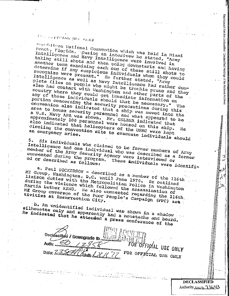## ros, organis yns cany

5.

Propibilican National Convention which was held in Miami Boach, Florida. puring an interivew he stated, "Army Intelligence and Navy Intelligence were involved in taking still shots and then going downstaris and having another team examining each one of these still shots to determine if any suspicious individuals whom they could recognize were present." He further stated, "Army Intelligence as well as Navy Intelligence had rather complete files on people who might be trouble prone and they also had contact with Washington and other parts of the country where they could get immediate information on any of these individuals should that be necessary." portion concerning the security precautions during this convention also indicated that a ship was moved into the area to house security personnel and what appeared to be a U.S. Navy APA was shown. Mr. GELBER indicated that approximately 100 personnel were housed on this ship. also indicated that helicopters of the USMC were kept circling the convention site to evacuate individuals should

Six individuals who claimed to be former members of Army Intelligence and one individual who was described as a former member of the Army Security Agency were interviewed or commented during the program. These individuals were identifi-

a. Paul DICKERSON - described as a member of the ligth MI Group, Washington, D.C. until June 1970. He outlined liaison duties with the Metropolitian Police in Washington during the violence which followed the assassination of Martin Luther KING. He also commented regarding the ll6th, ME Group coverage of the Poor People's Campaign (PPC) act

b. An unidentified individual was shown in a shadow and silhouette only and apparently had a moustache and beard. He indicated that he attended a press conference of the

Declassified / Dewngrade to ... Auth: IOTAL USE ONLY FOR OFFICIAL USE ONLY Dato:  $\leq$ 

**DECLASSIFIED** Authority<u> ハルトコろらり</u> Reproduced from the Unclassified / Declassified Holdings of the National Archives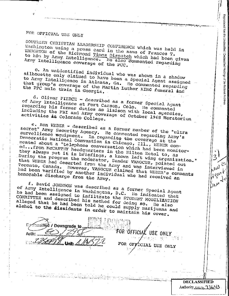## FOR OFFICIAL USE ONLY

SOUTHERN CHRISTIAN LEADERSHIP CONFERENCE which was held in Washington using a press card in the name of Frances T. unughton of the Richmond Times Dispatch which had been given to him by Army Intelligence. He also commented regarding Army Intelligence coverage of the PCC.

c. An unidentified individual who was shown in a shadow silhouette only claimed to have been a Special Agent assigned to Army Intelligence in Atlanta, Ga. He commented regarding that group's coverage of the Martin Luther KING funeral and the PPC mule train in Georgia.

d. Oliver PIERCE - described as a former Special Agent of Army Intelligence at Fort Carson, Colo. He commented regarding his former duties as liaison with local agencies, including the FBI and Army coverage of October 1968 Moratorium

e. Ron WEBER - described as a former member of the "ultra secret" Army Security Agency. He commented regarding Army's survellience wquipment. In regarding the coverage at the Democratic National Convention in Chicago, Ill., WEBER COMmented about a "telephone conversation which had been monitored...from McCARTHY headquarters in the Hilton Hotel to, as they always put it in briefings, a known left wing organization." During the program the moderator, Sander VANOCUR, pointed out that WEBER had deserted from the Army and was interviewed in Toronto, Canada. However, VANOCUR claimed that WEBER's comments had been varified by another individual who had received an honorable discharge from the Army.

f. David JOHNSON was described as a former Special Agent of Army Intelligence in Washington, D.C. He indicated that he had been assigned to infiltrate the STUDENT MODILIZATION COMMITTEE and described his method for doing so. He also alleged that he had been told he could supply marijuana and alchol to the dissidents in order to maintain his cover.

d / Downgrade to FOR OFFICIAL USE ONLY FOR OFFICIAL USE ONLY

**DECLASSIFIED** Authority<u> ハルトコろに</u>して Reproduced from the Unclassified / Declassified Holdings of the National Archiv

 $3<sup>1</sup>$